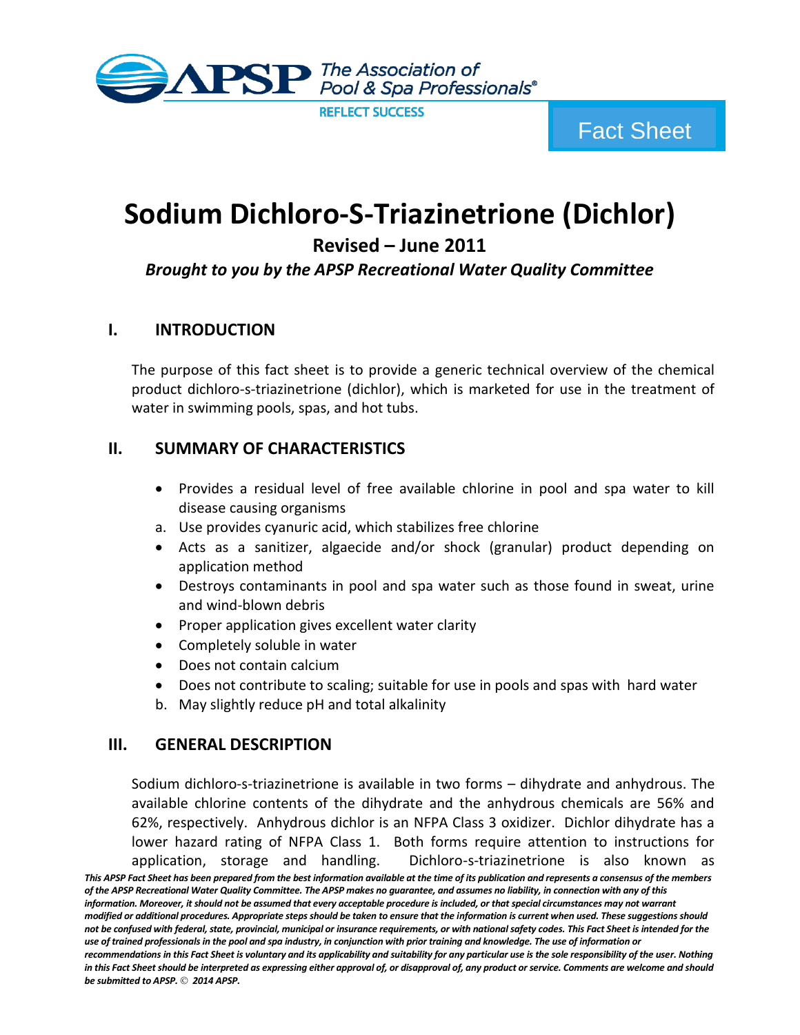

# **Sodium Dichloro-S-Triazinetrione (Dichlor)**

**Revised – June 2011**

## *Brought to you by the APSP Recreational Water Quality Committee*

#### **I. INTRODUCTION**

The purpose of this fact sheet is to provide a generic technical overview of the chemical product dichloro-s-triazinetrione (dichlor), which is marketed for use in the treatment of water in swimming pools, spas, and hot tubs.

## **II. SUMMARY OF CHARACTERISTICS**

- Provides a residual level of free available chlorine in pool and spa water to kill disease causing organisms
- a. Use provides cyanuric acid, which stabilizes free chlorine
- Acts as a sanitizer, algaecide and/or shock (granular) product depending on application method
- Destroys contaminants in pool and spa water such as those found in sweat, urine and wind-blown debris
- Proper application gives excellent water clarity
- Completely soluble in water
- Does not contain calcium
- Does not contribute to scaling; suitable for use in pools and spas with hard water
- b. May slightly reduce pH and total alkalinity

#### **III. GENERAL DESCRIPTION**

Sodium dichloro-s-triazinetrione is available in two forms – dihydrate and anhydrous. The available chlorine contents of the dihydrate and the anhydrous chemicals are 56% and 62%, respectively. Anhydrous dichlor is an NFPA Class 3 oxidizer. Dichlor dihydrate has a lower hazard rating of NFPA Class 1. Both forms require attention to instructions for application, storage and handling. Dichloro-s-triazinetrione is also known as

*This APSP Fact Sheet has been prepared from the best information available at the time of its publication and represents a consensus of the members of the APSP Recreational Water Quality Committee. The APSP makes no guarantee, and assumes no liability, in connection with any of this information. Moreover, it should not be assumed that every acceptable procedure is included, or that special circumstances may not warrant modified or additional procedures. Appropriate steps should be taken to ensure that the information is current when used. These suggestions should not be confused with federal, state, provincial, municipal or insurance requirements, or with national safety codes. This Fact Sheet is intended for the use of trained professionals in the pool and spa industry, in conjunction with prior training and knowledge. The use of information or recommendations in this Fact Sheet is voluntary and its applicability and suitability for any particular use is the sole responsibility of the user. Nothing in this Fact Sheet should be interpreted as expressing either approval of, or disapproval of, any product or service. Comments are welcome and should be submitted to APSP. 2014 APSP.*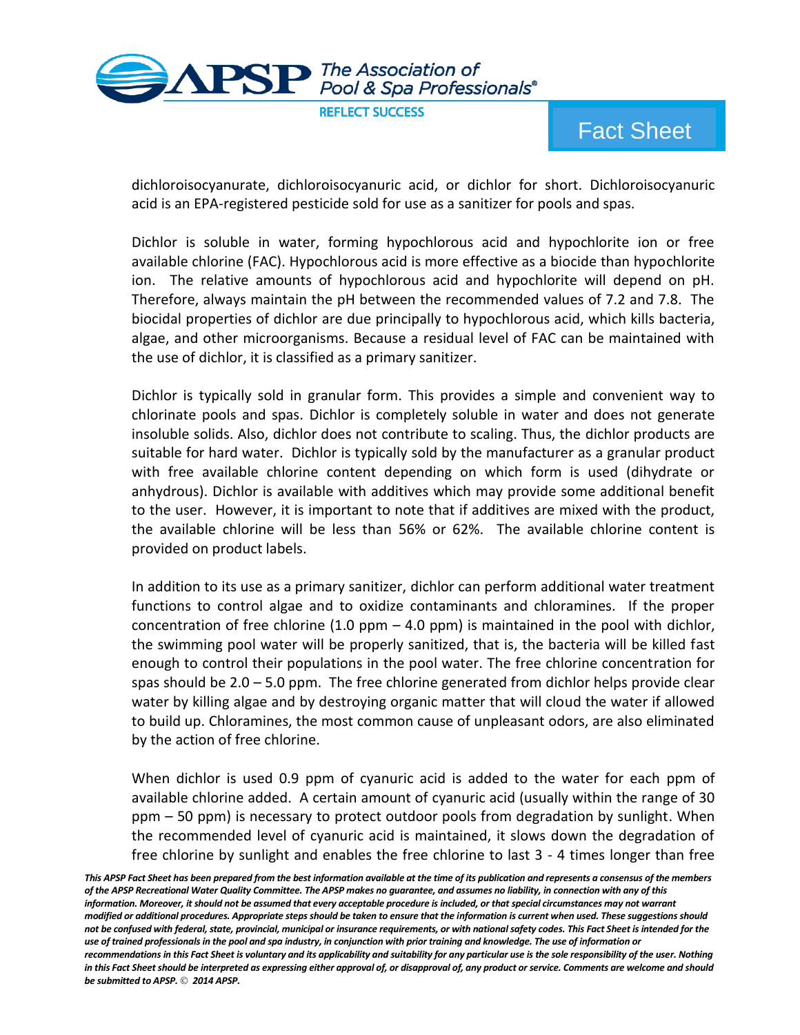

dichloroisocyanurate, dichloroisocyanuric acid, or dichlor for short. Dichloroisocyanuric acid is an EPA-registered pesticide sold for use as a sanitizer for pools and spas.

Dichlor is soluble in water, forming hypochlorous acid and hypochlorite ion or free available chlorine (FAC). Hypochlorous acid is more effective as a biocide than hypochlorite ion. The relative amounts of hypochlorous acid and hypochlorite will depend on pH. Therefore, always maintain the pH between the recommended values of 7.2 and 7.8. The biocidal properties of dichlor are due principally to hypochlorous acid, which kills bacteria, algae, and other microorganisms. Because a residual level of FAC can be maintained with the use of dichlor, it is classified as a primary sanitizer.

Dichlor is typically sold in granular form. This provides a simple and convenient way to chlorinate pools and spas. Dichlor is completely soluble in water and does not generate insoluble solids. Also, dichlor does not contribute to scaling. Thus, the dichlor products are suitable for hard water. Dichlor is typically sold by the manufacturer as a granular product with free available chlorine content depending on which form is used (dihydrate or anhydrous). Dichlor is available with additives which may provide some additional benefit to the user. However, it is important to note that if additives are mixed with the product, the available chlorine will be less than 56% or 62%. The available chlorine content is provided on product labels.

In addition to its use as a primary sanitizer, dichlor can perform additional water treatment functions to control algae and to oxidize contaminants and chloramines. If the proper concentration of free chlorine (1.0 ppm  $-$  4.0 ppm) is maintained in the pool with dichlor, the swimming pool water will be properly sanitized, that is, the bacteria will be killed fast enough to control their populations in the pool water. The free chlorine concentration for spas should be 2.0 – 5.0 ppm. The free chlorine generated from dichlor helps provide clear water by killing algae and by destroying organic matter that will cloud the water if allowed to build up. Chloramines, the most common cause of unpleasant odors, are also eliminated by the action of free chlorine.

When dichlor is used 0.9 ppm of cyanuric acid is added to the water for each ppm of available chlorine added. A certain amount of cyanuric acid (usually within the range of 30 ppm – 50 ppm) is necessary to protect outdoor pools from degradation by sunlight. When the recommended level of cyanuric acid is maintained, it slows down the degradation of free chlorine by sunlight and enables the free chlorine to last 3 - 4 times longer than free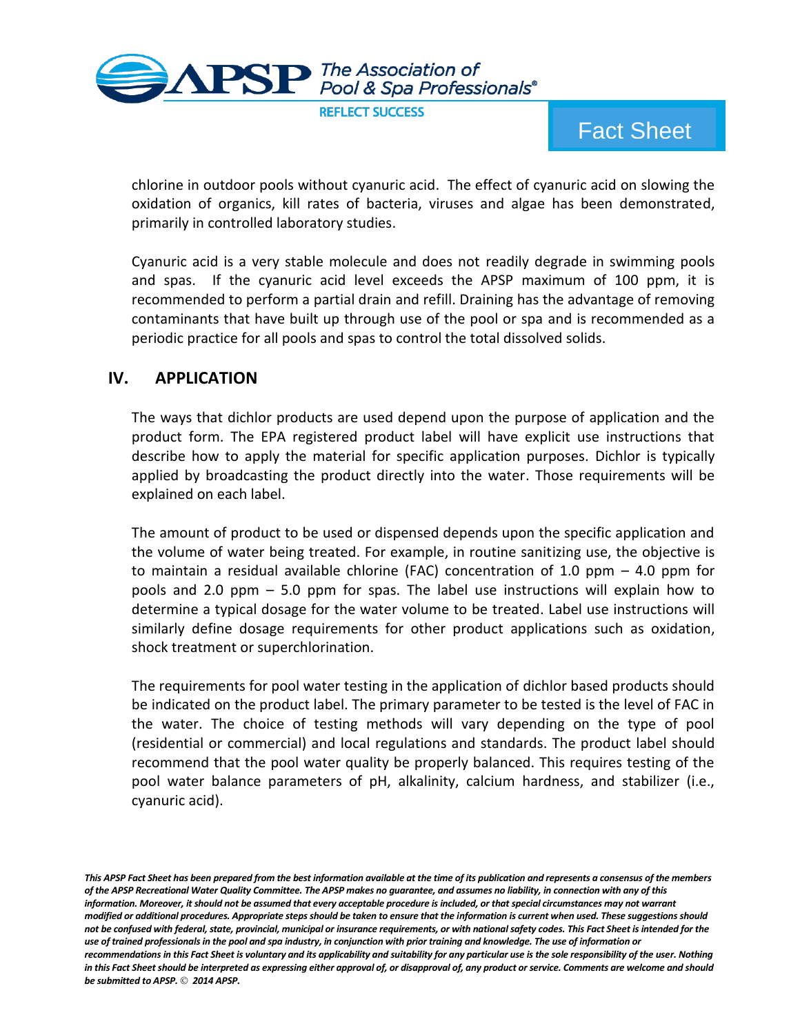

chlorine in outdoor pools without cyanuric acid. The effect of cyanuric acid on slowing the oxidation of organics, kill rates of bacteria, viruses and algae has been demonstrated, primarily in controlled laboratory studies.

Cyanuric acid is a very stable molecule and does not readily degrade in swimming pools and spas. If the cyanuric acid level exceeds the APSP maximum of 100 ppm, it is recommended to perform a partial drain and refill. Draining has the advantage of removing contaminants that have built up through use of the pool or spa and is recommended as a periodic practice for all pools and spas to control the total dissolved solids.

#### **IV. APPLICATION**

The ways that dichlor products are used depend upon the purpose of application and the product form. The EPA registered product label will have explicit use instructions that describe how to apply the material for specific application purposes. Dichlor is typically applied by broadcasting the product directly into the water. Those requirements will be explained on each label.

The amount of product to be used or dispensed depends upon the specific application and the volume of water being treated. For example, in routine sanitizing use, the objective is to maintain a residual available chlorine (FAC) concentration of 1.0 ppm  $-$  4.0 ppm for pools and 2.0 ppm – 5.0 ppm for spas. The label use instructions will explain how to determine a typical dosage for the water volume to be treated. Label use instructions will similarly define dosage requirements for other product applications such as oxidation, shock treatment or superchlorination.

The requirements for pool water testing in the application of dichlor based products should be indicated on the product label. The primary parameter to be tested is the level of FAC in the water. The choice of testing methods will vary depending on the type of pool (residential or commercial) and local regulations and standards. The product label should recommend that the pool water quality be properly balanced. This requires testing of the pool water balance parameters of pH, alkalinity, calcium hardness, and stabilizer (i.e., cyanuric acid).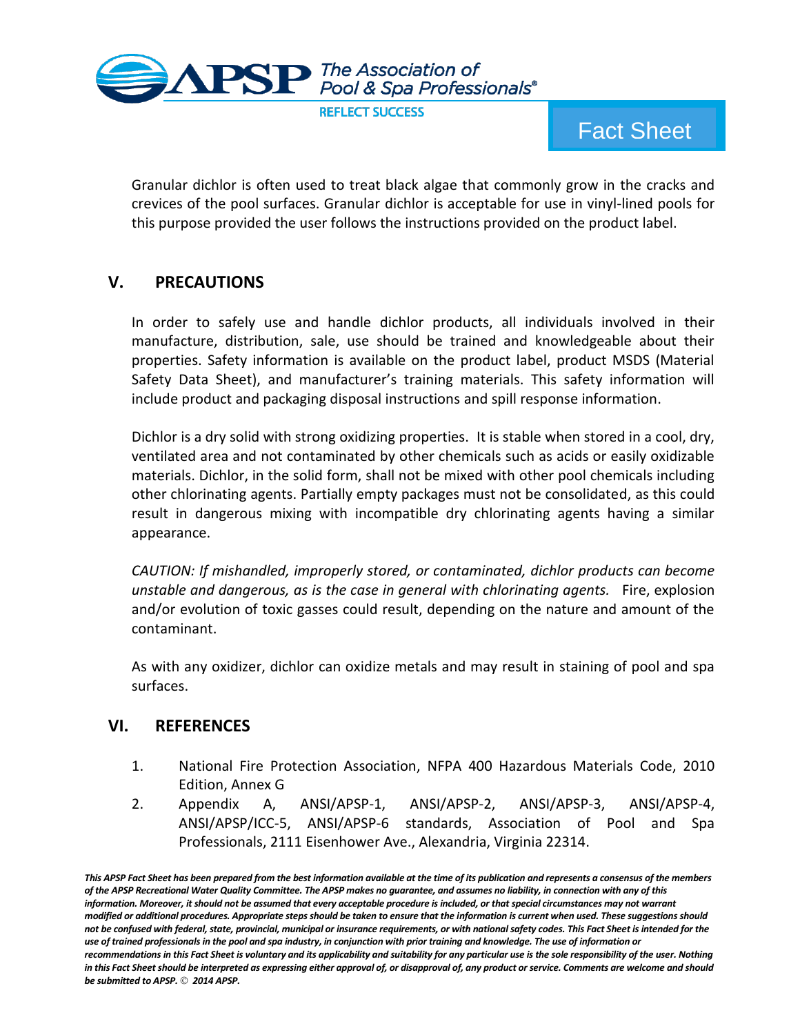

Granular dichlor is often used to treat black algae that commonly grow in the cracks and crevices of the pool surfaces. Granular dichlor is acceptable for use in vinyl-lined pools for this purpose provided the user follows the instructions provided on the product label.

# **V. PRECAUTIONS**

In order to safely use and handle dichlor products, all individuals involved in their manufacture, distribution, sale, use should be trained and knowledgeable about their properties. Safety information is available on the product label, product MSDS (Material Safety Data Sheet), and manufacturer's training materials. This safety information will include product and packaging disposal instructions and spill response information.

Dichlor is a dry solid with strong oxidizing properties. It is stable when stored in a cool, dry, ventilated area and not contaminated by other chemicals such as acids or easily oxidizable materials. Dichlor, in the solid form, shall not be mixed with other pool chemicals including other chlorinating agents. Partially empty packages must not be consolidated, as this could result in dangerous mixing with incompatible dry chlorinating agents having a similar appearance.

*CAUTION: If mishandled, improperly stored, or contaminated, dichlor products can become unstable and dangerous, as is the case in general with chlorinating agents.* Fire, explosion and/or evolution of toxic gasses could result, depending on the nature and amount of the contaminant.

As with any oxidizer, dichlor can oxidize metals and may result in staining of pool and spa surfaces.

#### **VI. REFERENCES**

- 1. National Fire Protection Association, NFPA 400 Hazardous Materials Code, 2010 Edition, Annex G
- 2. Appendix A, ANSI/APSP-1, ANSI/APSP-2, ANSI/APSP-3, ANSI/APSP-4, ANSI/APSP/ICC-5, ANSI/APSP-6 standards, Association of Pool and Spa Professionals, 2111 Eisenhower Ave., Alexandria, Virginia 22314.